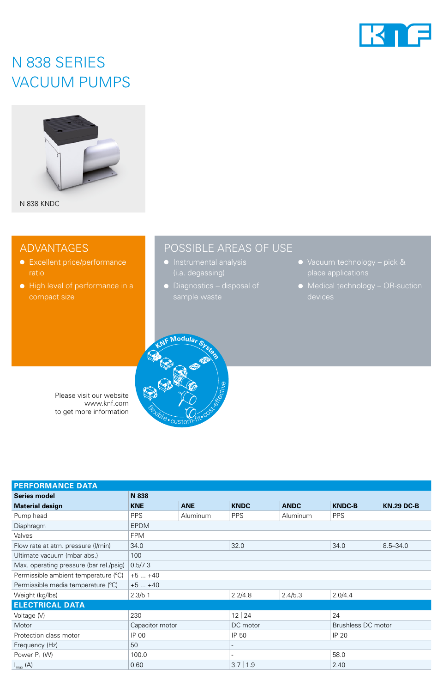

## N 838 SERIES VACUUM PUMPS



### ADVANTAGES

- Excellent price/performance
- High level of performance in a compact size

## POSSIBLE AREAS OF USE

- 
- 
- Vacuum technology pick &
- Medical technology OR-suction



Please visit our website www.knf.com to get more information

| <b>PERFORMANCE DATA</b>                 |                 |                 |             |                 |                    |                   |
|-----------------------------------------|-----------------|-----------------|-------------|-----------------|--------------------|-------------------|
| <b>Series model</b>                     | N 838           |                 |             |                 |                    |                   |
| <b>Material design</b>                  | <b>KNE</b>      | <b>ANE</b>      | <b>KNDC</b> | <b>ANDC</b>     | <b>KNDC-B</b>      | <b>KN.29 DC-B</b> |
| Pump head                               | <b>PPS</b>      | <b>Aluminum</b> | <b>PPS</b>  | <b>Aluminum</b> | <b>PPS</b>         |                   |
| Diaphragm                               | <b>EPDM</b>     |                 |             |                 |                    |                   |
| Valves                                  | <b>FPM</b>      |                 |             |                 |                    |                   |
| Flow rate at atm. pressure (I/min)      | 34.0            |                 | 32.0        |                 | 34.0               | $8.5 - 34.0$      |
| Ultimate vacuum (mbar abs.)             | 100             |                 |             |                 |                    |                   |
| Max. operating pressure (bar rel./psig) | 0.5/7.3         |                 |             |                 |                    |                   |
| Permissible ambient temperature (°C)    | $+5+40$         |                 |             |                 |                    |                   |
| Permissible media temperature (°C)      | $+5+40$         |                 |             |                 |                    |                   |
| Weight (kg/lbs)                         | 2.3/5.1         |                 | 2.2/4.8     | 2.4/5.3         | 2.0/4.4            |                   |
| <b>ELECTRICAL DATA</b>                  |                 |                 |             |                 |                    |                   |
| Voltage (V)                             | 230             |                 | 12 24       |                 | 24                 |                   |
| Motor                                   | Capacitor motor |                 | DC motor    |                 | Brushless DC motor |                   |
| Protection class motor                  | IP 00           |                 | IP 50       |                 | IP 20              |                   |
| Frequency (Hz)                          | 50              |                 |             |                 |                    |                   |
| Power P <sub>1</sub> (W)                | 100.0           |                 | ۰           |                 | 58.0               |                   |
| $I_{\text{max}}(A)$                     | 0.60            |                 | $3.7$   1.9 |                 | 2.40               |                   |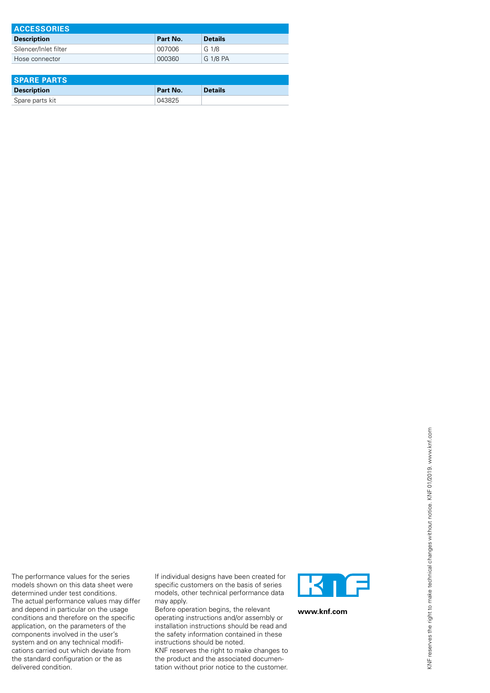| <b>ACCESSORIES</b>    |          |                |  |  |
|-----------------------|----------|----------------|--|--|
| <b>Description</b>    | Part No. | <b>Details</b> |  |  |
| Silencer/Inlet filter | 007006   | G 1/8          |  |  |
| Hose connector        | 000360   | G 1/8 PA       |  |  |

| <b>SPARE PARTS</b> |          |                |  |
|--------------------|----------|----------------|--|
| <b>Description</b> | Part No. | <b>Details</b> |  |
| Spare parts kit    | 043825   |                |  |

The performance values for the series models shown on this data sheet were determined under test conditions. The actual performance values may differ and depend in particular on the usage conditions and therefore on the specific application, on the parameters of the components involved in the user's system and on any technical modifications carried out which deviate from the standard configuration or the as delivered condition.

If individual designs have been created for specific customers on the basis of series models, other technical performance data may apply.

Before operation begins, the relevant operating instructions and/or assembly or installation instructions should be read and the safety information contained in these instructions should be noted.

KNF reserves the right to make changes to the product and the associated documentation without prior notice to the customer.



**www.knf.com**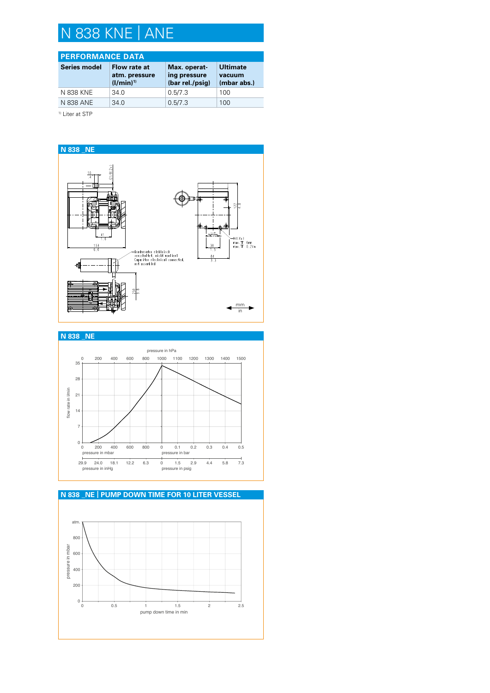# N 838 KNE | ANE

### **PERFORMANCE DATA**

| <b>Series model</b> | Flow rate at<br>atm. pressure<br>$(1/min)^{1}$ | Max. operat-<br>ing pressure<br>(bar rel./psig) | <b>Ultimate</b><br>vacuum<br>(mbar abs.) |
|---------------------|------------------------------------------------|-------------------------------------------------|------------------------------------------|
| N 838 KNE           | 34.0                                           | 0.5/7.3                                         | 100                                      |
| N 838 ANE           | 34.0                                           | 0.5/7.3                                         | 100                                      |

<sup>1)</sup> Liter at STP





### **N 838 \_NE | PUMP DOWN TIME FOR 10 LITER VESSEL**